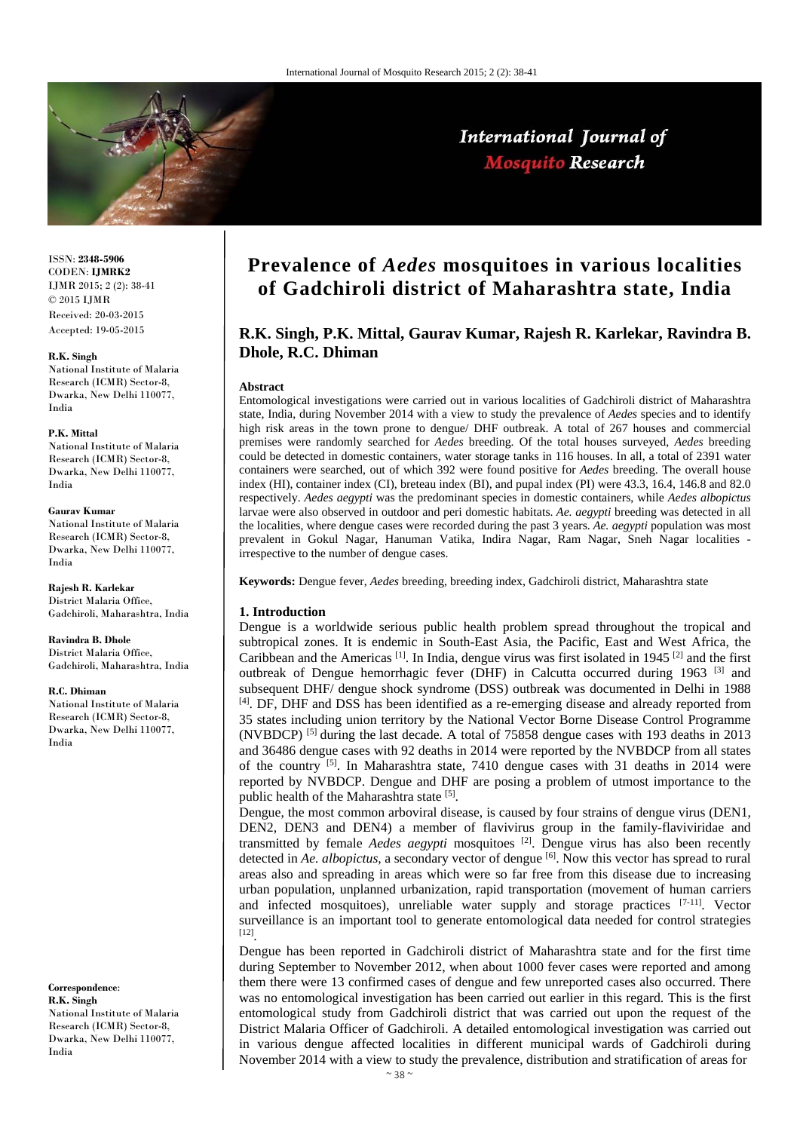

## International Journal of **Mosquito Research**

ISSN: **2348-5906** CODEN: **IJMRK2** IJMR 2015; 2 (2): 38-41  $\odot$  2015 IJMR Received: 20-03-2015 Accepted: 19-05-2015

#### **R.K. Singh**

National Institute of Malaria Research (ICMR) Sector-8, Dwarka, New Delhi 110077, India

#### **P.K. Mittal**

National Institute of Malaria Research (ICMR) Sector-8, Dwarka, New Delhi 110077, India

#### **Gaurav Kumar**

National Institute of Malaria Research (ICMR) Sector-8, Dwarka, New Delhi 110077, India

**Rajesh R. Karlekar**  District Malaria Office, Gadchiroli, Maharashtra, India

**Ravindra B. Dhole**  District Malaria Office, Gadchiroli, Maharashtra, India

#### **R.C. Dhiman**

National Institute of Malaria Research (ICMR) Sector-8, Dwarka, New Delhi 110077, India

**Correspondence**: **R.K. Singh**  National Institute of Malaria Research (ICMR) Sector-8, Dwarka, New Delhi 110077, India

# **Prevalence of** *Aedes* **mosquitoes in various localities of Gadchiroli district of Maharashtra state, India**

## **R.K. Singh, P.K. Mittal, Gaurav Kumar, Rajesh R. Karlekar, Ravindra B. Dhole, R.C. Dhiman**

#### **Abstract**

Entomological investigations were carried out in various localities of Gadchiroli district of Maharashtra state, India, during November 2014 with a view to study the prevalence of *Aedes* species and to identify high risk areas in the town prone to dengue/ DHF outbreak. A total of 267 houses and commercial premises were randomly searched for *Aedes* breeding. Of the total houses surveyed, *Aedes* breeding could be detected in domestic containers, water storage tanks in 116 houses. In all, a total of 2391 water containers were searched, out of which 392 were found positive for *Aedes* breeding. The overall house index (HI), container index (CI), breteau index (BI), and pupal index (PI) were 43.3, 16.4, 146.8 and 82.0 respectively. *Aedes aegypti* was the predominant species in domestic containers, while *Aedes albopictus* larvae were also observed in outdoor and peri domestic habitats. *Ae. aegypti* breeding was detected in all the localities, where dengue cases were recorded during the past 3 years. *Ae. aegypti* population was most prevalent in Gokul Nagar, Hanuman Vatika, Indira Nagar, Ram Nagar, Sneh Nagar localities irrespective to the number of dengue cases.

**Keywords:** Dengue fever, *Aedes* breeding, breeding index, Gadchiroli district, Maharashtra state

#### **1. Introduction**

Dengue is a worldwide serious public health problem spread throughout the tropical and subtropical zones. It is endemic in South-East Asia, the Pacific, East and West Africa, the Caribbean and the Americas [1]. In India, dengue virus was first isolated in 1945 [2] and the first outbreak of Dengue hemorrhagic fever (DHF) in Calcutta occurred during 1963 [3] and subsequent DHF/ dengue shock syndrome (DSS) outbreak was documented in Delhi in 1988 [4]. DF, DHF and DSS has been identified as a re-emerging disease and already reported from 35 states including union territory by the National Vector Borne Disease Control Programme (NVBDCP) [5] during the last decade. A total of 75858 dengue cases with 193 deaths in 2013 and 36486 dengue cases with 92 deaths in 2014 were reported by the NVBDCP from all states of the country  $[5]$ . In Maharashtra state, 7410 dengue cases with 31 deaths in 2014 were reported by NVBDCP. Dengue and DHF are posing a problem of utmost importance to the public health of the Maharashtra state [5].

Dengue, the most common arboviral disease, is caused by four strains of dengue virus (DEN1, DEN2, DEN3 and DEN4) a member of flavivirus group in the family-flaviviridae and transmitted by female *Aedes aegypti* mosquitoes [2]. Dengue virus has also been recently detected in *Ae. albopictus*, a secondary vector of dengue <sup>[6]</sup>. Now this vector has spread to rural areas also and spreading in areas which were so far free from this disease due to increasing urban population, unplanned urbanization, rapid transportation (movement of human carriers and infected mosquitoes), unreliable water supply and storage practices [7-11]. Vector surveillance is an important tool to generate entomological data needed for control strategies [12].

Dengue has been reported in Gadchiroli district of Maharashtra state and for the first time during September to November 2012, when about 1000 fever cases were reported and among them there were 13 confirmed cases of dengue and few unreported cases also occurred. There was no entomological investigation has been carried out earlier in this regard. This is the first entomological study from Gadchiroli district that was carried out upon the request of the District Malaria Officer of Gadchiroli. A detailed entomological investigation was carried out in various dengue affected localities in different municipal wards of Gadchiroli during November 2014 with a view to study the prevalence, distribution and stratification of areas for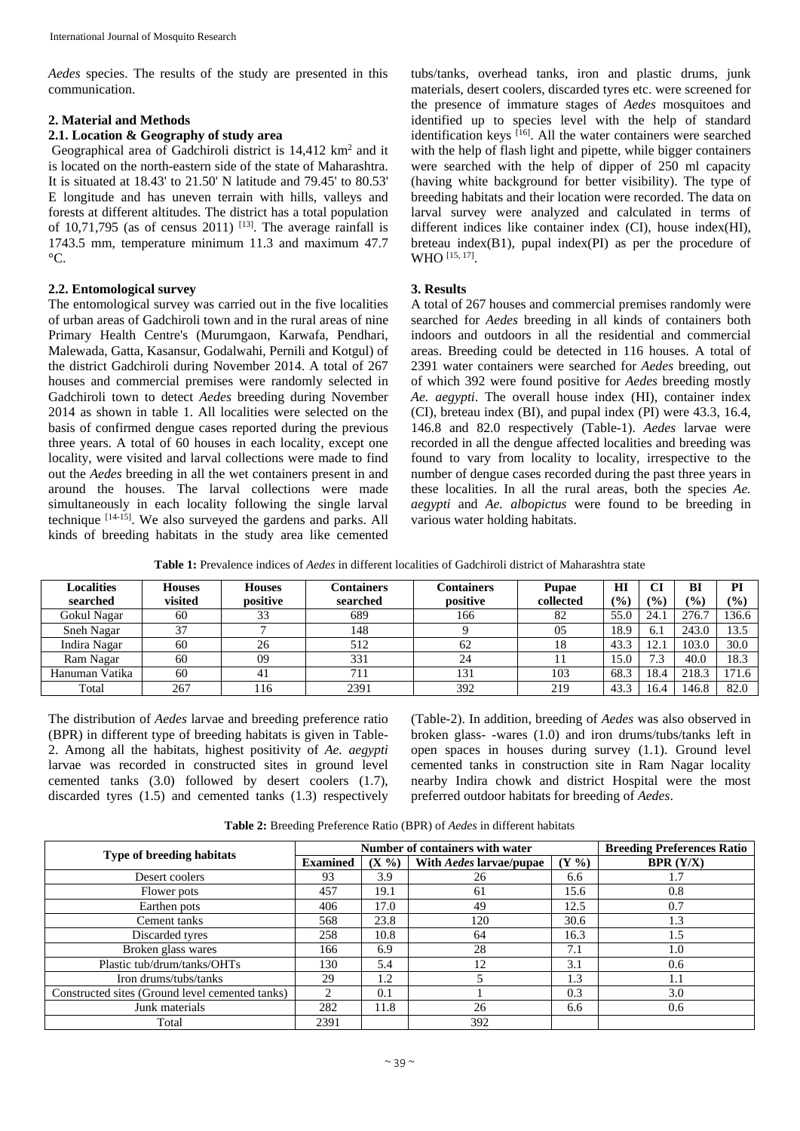*Aedes* species. The results of the study are presented in this communication.

## **2. Material and Methods**

### **2.1. Location & Geography of study area**

Geographical area of Gadchiroli district is 14,412 km<sup>2</sup> and it is located on the north-eastern side of the state of Maharashtra. It is situated at 18.43' to 21.50' N latitude and 79.45' to 80.53' E longitude and has uneven terrain with hills, valleys and forests at different altitudes. The district has a total population of 10,71,795 (as of census 2011)  $^{[13]}$ . The average rainfall is 1743.5 mm, temperature minimum 11.3 and maximum 47.7  $^{\circ}C.$ 

## **2.2. Entomological survey**

The entomological survey was carried out in the five localities of urban areas of Gadchiroli town and in the rural areas of nine Primary Health Centre's (Murumgaon, Karwafa, Pendhari, Malewada, Gatta, Kasansur, Godalwahi, Pernili and Kotgul) of the district Gadchiroli during November 2014. A total of 267 houses and commercial premises were randomly selected in Gadchiroli town to detect *Aedes* breeding during November 2014 as shown in table 1. All localities were selected on the basis of confirmed dengue cases reported during the previous three years. A total of 60 houses in each locality, except one locality, were visited and larval collections were made to find out the *Aedes* breeding in all the wet containers present in and around the houses. The larval collections were made simultaneously in each locality following the single larval technique [14-15]. We also surveyed the gardens and parks. All kinds of breeding habitats in the study area like cemented

tubs/tanks, overhead tanks, iron and plastic drums, junk materials, desert coolers, discarded tyres etc. were screened for the presence of immature stages of *Aedes* mosquitoes and identified up to species level with the help of standard identification keys <sup>[16]</sup>. All the water containers were searched with the help of flash light and pipette, while bigger containers were searched with the help of dipper of 250 ml capacity (having white background for better visibility). The type of breeding habitats and their location were recorded. The data on larval survey were analyzed and calculated in terms of different indices like container index (CI), house index(HI), breteau index $(B1)$ , pupal index $(PI)$  as per the procedure of WHO [15, 17].

## **3. Results**

A total of 267 houses and commercial premises randomly were searched for *Aedes* breeding in all kinds of containers both indoors and outdoors in all the residential and commercial areas. Breeding could be detected in 116 houses. A total of 2391 water containers were searched for *Aedes* breeding, out of which 392 were found positive for *Aedes* breeding mostly *Ae. aegypti*. The overall house index (HI), container index (CI), breteau index (BI), and pupal index (PI) were 43.3, 16.4, 146.8 and 82.0 respectively (Table-1). *Aedes* larvae were recorded in all the dengue affected localities and breeding was found to vary from locality to locality, irrespective to the number of dengue cases recorded during the past three years in these localities. In all the rural areas, both the species *Ae. aegypti* and *Ae. albopictus* were found to be breeding in various water holding habitats.

**Table 1:** Prevalence indices of *Aedes* in different localities of Gadchiroli district of Maharashtra state

| <b>Localities</b><br>searched | <b>Houses</b><br>visited | <b>Houses</b><br>positive | Containers<br>searched | Containers<br>positive | <b>Pupae</b><br>collected | HI<br>$\frac{(0)}{0}$ | СI<br>(0/0) | BI<br>$\frac{1}{2}$ | PI<br>$\frac{(0)}{0}$ |
|-------------------------------|--------------------------|---------------------------|------------------------|------------------------|---------------------------|-----------------------|-------------|---------------------|-----------------------|
| Gokul Nagar                   | 60                       | 33                        | 689                    | 166                    | 82                        | 55.0                  | 24.1        | 276.7               | 136.6                 |
| Sneh Nagar                    | 37                       |                           | 148                    |                        | 05                        | 18.9                  | 6.1         | 243.0               | 13.5                  |
| Indira Nagar                  | 60                       | 26                        | 512                    | 62                     | 18                        | 43.3                  | 12.1        | 103.0               | 30.0                  |
| Ram Nagar                     | 60                       | 09                        | 331                    | 24                     |                           | 15.0                  | 7.3         | 40.0                | 18.3                  |
| Hanuman Vatika                | 60                       | 41                        | 711                    | 131                    | 103                       | 68.3                  | 18.4        | 218.3               | 171.6                 |
| Total                         | 267                      | 116                       | 2391                   | 392                    | 219                       | 43.3                  | 16.4        | 146.8               | 82.0                  |

The distribution of *Aedes* larvae and breeding preference ratio (BPR) in different type of breeding habitats is given in Table-2. Among all the habitats, highest positivity of *Ae. aegypti*  larvae was recorded in constructed sites in ground level cemented tanks (3.0) followed by desert coolers (1.7), discarded tyres (1.5) and cemented tanks (1.3) respectively

(Table-2). In addition, breeding of *Aedes* was also observed in broken glass- -wares (1.0) and iron drums/tubs/tanks left in open spaces in houses during survey (1.1). Ground level cemented tanks in construction site in Ram Nagar locality nearby Indira chowk and district Hospital were the most preferred outdoor habitats for breeding of *Aedes*.

**Table 2:** Breeding Preference Ratio (BPR) of *Aedes* in different habitats

|                                                 | Number of containers with water |          |                         |                | <b>Breeding Preferences Ratio</b> |  |
|-------------------------------------------------|---------------------------------|----------|-------------------------|----------------|-----------------------------------|--|
| <b>Type of breeding habitats</b>                | <b>Examined</b>                 | $(X\% )$ | With Aedes larvae/pupae | $(Y_{\infty})$ | <b>BPR</b> $(Y/X)$                |  |
| Desert coolers                                  | 93                              | 3.9      | 26                      | 6.6            | 1.7                               |  |
| Flower pots                                     | 457                             | 19.1     | 61                      | 15.6           | 0.8                               |  |
| Earthen pots                                    | 406                             | 17.0     | 49                      | 12.5           | 0.7                               |  |
| Cement tanks                                    | 568                             | 23.8     | 120                     | 30.6           | 1.3                               |  |
| Discarded tyres                                 | 258                             | 10.8     | 64                      | 16.3           | 1.5                               |  |
| Broken glass wares                              | 166                             | 6.9      | 28                      | 7.1            | 1.0                               |  |
| Plastic tub/drum/tanks/OHTs                     | 130                             | 5.4      | 12                      | 3.1            | 0.6                               |  |
| Iron drums/tubs/tanks                           | 29                              | 1.2      |                         | 1.3            | 1.1                               |  |
| Constructed sites (Ground level cemented tanks) |                                 | 0.1      |                         | 0.3            | 3.0                               |  |
| Junk materials                                  | 282                             | 11.8     | 26                      | 6.6            | 0.6                               |  |
| Total                                           | 2391                            |          | 392                     |                |                                   |  |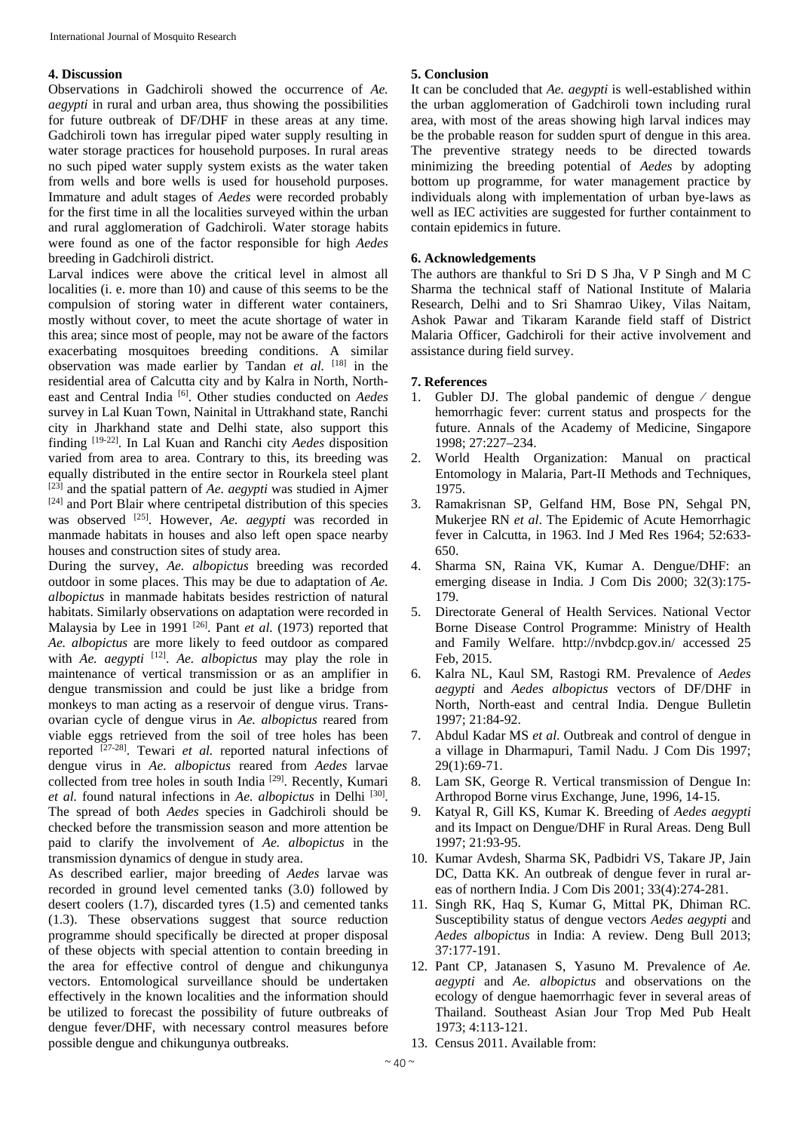### **4. Discussion**

Observations in Gadchiroli showed the occurrence of *Ae. aegypti* in rural and urban area, thus showing the possibilities for future outbreak of DF/DHF in these areas at any time. Gadchiroli town has irregular piped water supply resulting in water storage practices for household purposes. In rural areas no such piped water supply system exists as the water taken from wells and bore wells is used for household purposes. Immature and adult stages of *Aedes* were recorded probably for the first time in all the localities surveyed within the urban and rural agglomeration of Gadchiroli. Water storage habits were found as one of the factor responsible for high *Aedes* breeding in Gadchiroli district.

Larval indices were above the critical level in almost all localities (i. e. more than 10) and cause of this seems to be the compulsion of storing water in different water containers, mostly without cover, to meet the acute shortage of water in this area; since most of people, may not be aware of the factors exacerbating mosquitoes breeding conditions. A similar observation was made earlier by Tandan *et al.* [18] in the residential area of Calcutta city and by Kalra in North, Northeast and Central India [6]. Other studies conducted on *Aedes* survey in Lal Kuan Town, Nainital in Uttrakhand state, Ranchi city in Jharkhand state and Delhi state, also support this finding [19-22]. In Lal Kuan and Ranchi city *Aedes* disposition varied from area to area. Contrary to this, its breeding was equally distributed in the entire sector in Rourkela steel plant [23] and the spatial pattern of *Ae. aegypti* was studied in Ajmer [24] and Port Blair where centripetal distribution of this species was observed <sup>[25]</sup>. However, *Ae. aegypti* was recorded in manmade habitats in houses and also left open space nearby houses and construction sites of study area.

During the survey, *Ae. albopictus* breeding was recorded outdoor in some places. This may be due to adaptation of *Ae. albopictus* in manmade habitats besides restriction of natural habitats. Similarly observations on adaptation were recorded in Malaysia by Lee in 1991 <sup>[26]</sup>. Pant *et al.* (1973) reported that *Ae. albopictus* are more likely to feed outdoor as compared with *Ae. aegypti* [12]. *Ae. albopictus* may play the role in maintenance of vertical transmission or as an amplifier in dengue transmission and could be just like a bridge from monkeys to man acting as a reservoir of dengue virus. Transovarian cycle of dengue virus in *Ae. albopictus* reared from viable eggs retrieved from the soil of tree holes has been reported [27-28]. Tewari *et al.* reported natural infections of dengue virus in *Ae. albopictus* reared from *Aedes* larvae collected from tree holes in south India [29]. Recently, Kumari *et al.* found natural infections in *Ae. albopictus* in Delhi [30]. The spread of both *Aedes* species in Gadchiroli should be checked before the transmission season and more attention be paid to clarify the involvement of *Ae. albopictus* in the transmission dynamics of dengue in study area.

As described earlier, major breeding of *Aedes* larvae was recorded in ground level cemented tanks (3.0) followed by desert coolers (1.7), discarded tyres (1.5) and cemented tanks (1.3). These observations suggest that source reduction programme should specifically be directed at proper disposal of these objects with special attention to contain breeding in the area for effective control of dengue and chikungunya vectors. Entomological surveillance should be undertaken effectively in the known localities and the information should be utilized to forecast the possibility of future outbreaks of dengue fever/DHF, with necessary control measures before possible dengue and chikungunya outbreaks.

## **5. Conclusion**

It can be concluded that *Ae. aegypti* is well-established within the urban agglomeration of Gadchiroli town including rural area, with most of the areas showing high larval indices may be the probable reason for sudden spurt of dengue in this area. The preventive strategy needs to be directed towards minimizing the breeding potential of *Aedes* by adopting bottom up programme, for water management practice by individuals along with implementation of urban bye-laws as well as IEC activities are suggested for further containment to contain epidemics in future.

### **6. Acknowledgements**

The authors are thankful to Sri D S Jha, V P Singh and M C Sharma the technical staff of National Institute of Malaria Research, Delhi and to Sri Shamrao Uikey, Vilas Naitam, Ashok Pawar and Tikaram Karande field staff of District Malaria Officer, Gadchiroli for their active involvement and assistance during field survey.

## **7. References**

- 1. Gubler DJ. The global pandemic of dengue ⁄ dengue hemorrhagic fever: current status and prospects for the future. Annals of the Academy of Medicine, Singapore 1998; 27:227–234.
- 2. World Health Organization: Manual on practical Entomology in Malaria, Part-II Methods and Techniques, 1975.
- 3. Ramakrisnan SP, Gelfand HM, Bose PN, Sehgal PN, Mukerjee RN *et al*. The Epidemic of Acute Hemorrhagic fever in Calcutta, in 1963. Ind J Med Res 1964; 52:633- 650.
- 4. Sharma SN, Raina VK, Kumar A. Dengue/DHF: an emerging disease in India. J Com Dis 2000; 32(3):175- 179.
- 5. Directorate General of Health Services. National Vector Borne Disease Control Programme: Ministry of Health and Family Welfare. http://nvbdcp.gov.in/ accessed 25 Feb, 2015.
- 6. Kalra NL, Kaul SM, Rastogi RM. Prevalence of *Aedes aegypti* and *Aedes albopictus* vectors of DF/DHF in North, North-east and central India. Dengue Bulletin 1997; 21:84-92.
- 7. Abdul Kadar MS *et al*. Outbreak and control of dengue in a village in Dharmapuri, Tamil Nadu. J Com Dis 1997; 29(1):69-71.
- 8. Lam SK, George R. Vertical transmission of Dengue In: Arthropod Borne virus Exchange, June, 1996, 14-15.
- 9. Katyal R, Gill KS, Kumar K. Breeding of *Aedes aegypti* and its Impact on Dengue/DHF in Rural Areas. Deng Bull 1997; 21:93-95.
- 10. Kumar Avdesh, Sharma SK, Padbidri VS, Takare JP, Jain DC, Datta KK. An outbreak of dengue fever in rural areas of northern India. J Com Dis 2001; 33(4):274-281.
- 11. Singh RK, Haq S, Kumar G, Mittal PK, Dhiman RC. Susceptibility status of dengue vectors *Aedes aegypti* and *Aedes albopictus* in India: A review. Deng Bull 2013; 37:177-191.
- 12. Pant CP, Jatanasen S, Yasuno M. Prevalence of *Ae. aegypti* and *Ae. albopictus* and observations on the ecology of dengue haemorrhagic fever in several areas of Thailand. Southeast Asian Jour Trop Med Pub Healt 1973; 4:113-121.
- 13. Census 2011. Available from: